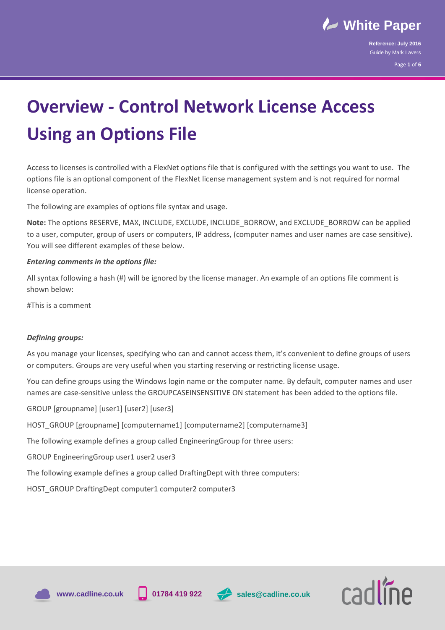

**Reference: July 2016** Guide by Mark Lavers

Page **1** of **6**

# **Overview - Control Network License Access Using an Options File**

Access to licenses is controlled with a FlexNet options file that is configured with the settings you want to use. The options file is an optional component of the FlexNet license management system and is not required for normal license operation.

The following are examples of options file syntax and usage.

**Note:** The options RESERVE, MAX, INCLUDE, EXCLUDE, INCLUDE\_BORROW, and EXCLUDE\_BORROW can be applied to a user, computer, group of users or computers, IP address, (computer names and user names are case sensitive). You will see different examples of these below.

# *Entering comments in the options file:*

All syntax following a hash (#) will be ignored by the license manager. An example of an options file comment is shown below:

#This is a comment

#### *Defining groups:*

As you manage your licenses, specifying who can and cannot access them, it's convenient to define groups of users or computers. Groups are very useful when you starting reserving or restricting license usage.

You can define groups using the Windows login name or the computer name. By default, computer names and user names are case-sensitive unless the GROUPCASEINSENSITIVE ON statement has been added to the options file.

GROUP [groupname] [user1] [user2] [user3]

HOST\_GROUP [groupname] [computername1] [computername2] [computername3]

The following example defines a group called EngineeringGroup for three users:

GROUP EngineeringGroup user1 user2 user3

The following example defines a group called DraftingDept with three computers:

HOST\_GROUP DraftingDept computer1 computer2 computer3







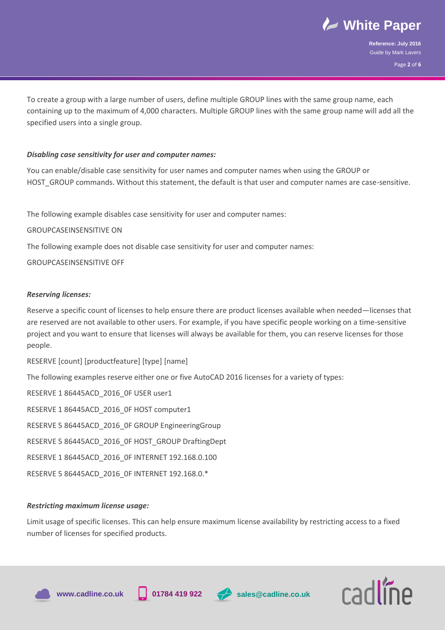

**Reference: July 2016** Guide by Mark Lavers

Page **2** of **6**

 To create a group with a large number of users, define multiple GROUP lines with the same group name, each containing up to the maximum of 4,000 characters. Multiple GROUP lines with the same group name will add all the specified users into a single group.

# *Disabling case sensitivity for user and computer names:*

You can enable/disable case sensitivity for user names and computer names when using the GROUP or HOST\_GROUP commands. Without this statement, the default is that user and computer names are case-sensitive.

The following example disables case sensitivity for user and computer names:

# GROUPCASEINSENSITIVE ON

The following example does not disable case sensitivity for user and computer names:

# GROUPCASEINSENSITIVE OFF

# *Reserving licenses:*

Reserve a specific count of licenses to help ensure there are product licenses available when needed—licenses that are reserved are not available to other users. For example, if you have specific people working on a time-sensitive project and you want to ensure that licenses will always be available for them, you can reserve licenses for those people.

RESERVE [count] [productfeature] [type] [name] The following examples reserve either one or five AutoCAD 2016 licenses for a variety of types: RESERVE 1 86445ACD 2016 OF USER user1 RESERVE 1 86445ACD\_2016\_0F HOST computer1 RESERVE 5 86445ACD 2016 OF GROUP EngineeringGroup RESERVE 5 86445ACD 2016 OF HOST GROUP DraftingDept RESERVE 1 86445ACD\_2016\_0F INTERNET 192.168.0.100 RESERVE 5 86445ACD\_2016\_0F INTERNET 192.168.0.\*

# *Restricting maximum license usage:*

Limit usage of specific licenses. This can help ensure maximum license availability by restricting access to a fixed number of licenses for specified products.







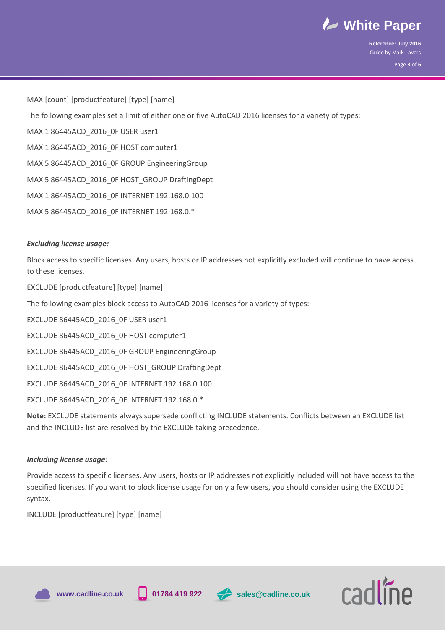

**Reference: July 2016** Guide by Mark Lavers Page **3** of **6**

MAX [count] [productfeature] [type] [name]

The following examples set a limit of either one or five AutoCAD 2016 licenses for a variety of types:

MAX 1 86445ACD 2016 OF USER user1

MAX 1 86445ACD 2016 OF HOST computer1

MAX 5 86445ACD 2016 OF GROUP EngineeringGroup

MAX 5 86445ACD 2016 OF HOST\_GROUP DraftingDept

MAX 1 86445ACD\_2016\_0F INTERNET 192.168.0.100

MAX 5 86445ACD 2016 OF INTERNET 192.168.0.\*

# *Excluding license usage:*

Block access to specific licenses. Any users, hosts or IP addresses not explicitly excluded will continue to have access to these licenses.

EXCLUDE [productfeature] [type] [name]

The following examples block access to AutoCAD 2016 licenses for a variety of types:

EXCLUDE 86445ACD 2016 OF USER user1

EXCLUDE 86445ACD\_2016\_0F HOST computer1

EXCLUDE 86445ACD\_2016\_0F GROUP EngineeringGroup

EXCLUDE 86445ACD\_2016\_0F HOST\_GROUP DraftingDept

EXCLUDE 86445ACD\_2016\_0F INTERNET 192.168.0.100

EXCLUDE 86445ACD\_2016\_0F INTERNET 192.168.0.\*

**Note:** EXCLUDE statements always supersede conflicting INCLUDE statements. Conflicts between an EXCLUDE list and the INCLUDE list are resolved by the EXCLUDE taking precedence.

# *Including license usage:*

Provide access to specific licenses. Any users, hosts or IP addresses not explicitly included will not have access to the specified licenses. If you want to block license usage for only a few users, you should consider using the EXCLUDE syntax.

INCLUDE [productfeature] [type] [name]







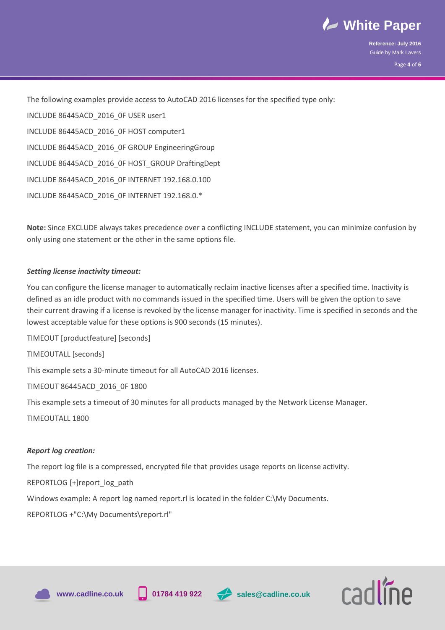

**Reference: July 2016** Guide by Mark Lavers Page **4** of **6**

 The following examples provide access to AutoCAD 2016 licenses for the specified type only: INCLUDE 86445ACD\_2016\_0F USER user1 INCLUDE 86445ACD\_2016\_0F HOST computer1 INCLUDE 86445ACD\_2016\_0F GROUP EngineeringGroup INCLUDE 86445ACD\_2016\_0F HOST\_GROUP DraftingDept INCLUDE 86445ACD\_2016\_0F INTERNET 192.168.0.100 INCLUDE 86445ACD\_2016\_0F INTERNET 192.168.0.\*

**Note:** Since EXCLUDE always takes precedence over a conflicting INCLUDE statement, you can minimize confusion by only using one statement or the other in the same options file.

# *Setting license inactivity timeout:*

You can configure the license manager to automatically reclaim inactive licenses after a specified time. Inactivity is defined as an idle product with no commands issued in the specified time. Users will be given the option to save their current drawing if a license is revoked by the license manager for inactivity. Time is specified in seconds and the lowest acceptable value for these options is 900 seconds (15 minutes).

TIMEOUT [productfeature] [seconds] TIMEOUTALL [seconds] This example sets a 30-minute timeout for all AutoCAD 2016 licenses. TIMEOUT 86445ACD\_2016\_0F 1800 This example sets a timeout of 30 minutes for all products managed by the Network License Manager. TIMEOUTALL 1800

# *Report log creation:*

The report log file is a compressed, encrypted file that provides usage reports on license activity.

REPORTLOG [+]report\_log\_path

Windows example: A report log named report.rl is located in the folder C:\My Documents.

REPORTLOG +"C:\My Documents\report.rl"









cadline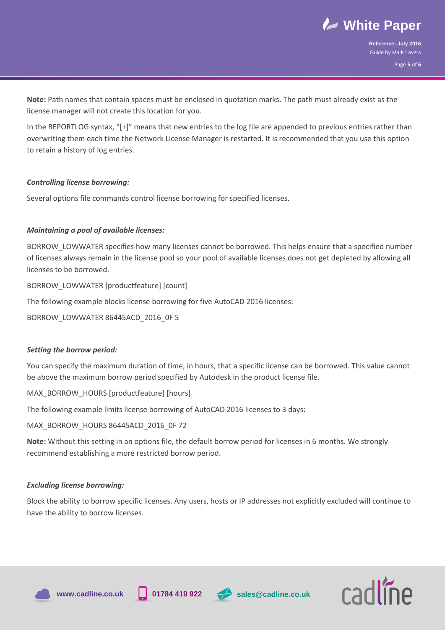

**Reference: July 2016** Guide by Mark Lavers Page **5** of **6**

 **Note:** Path names that contain spaces must be enclosed in quotation marks. The path must already exist as the license manager will not create this location for you.

In the REPORTLOG syntax, "[+]" means that new entries to the log file are appended to previous entries rather than overwriting them each time the Network License Manager is restarted. It is recommended that you use this option to retain a history of log entries.

# *Controlling license borrowing:*

Several options file commands control license borrowing for specified licenses.

# *Maintaining a pool of available licenses:*

BORROW\_LOWWATER specifies how many licenses cannot be borrowed. This helps ensure that a specified number of licenses always remain in the license pool so your pool of available licenses does not get depleted by allowing all licenses to be borrowed.

BORROW\_LOWWATER [productfeature] [count]

The following example blocks license borrowing for five AutoCAD 2016 licenses:

BORROW\_LOWWATER 86445ACD\_2016\_0F 5

#### *Setting the borrow period:*

You can specify the maximum duration of time, in hours, that a specific license can be borrowed. This value cannot be above the maximum borrow period specified by Autodesk in the product license file.

MAX\_BORROW\_HOURS [productfeature] [hours]

The following example limits license borrowing of AutoCAD 2016 licenses to 3 days:

MAX\_BORROW\_HOURS 86445ACD\_2016\_0F 72

**Note:** Without this setting in an options file, the default borrow period for licenses in 6 months. We strongly recommend establishing a more restricted borrow period.

#### *Excluding license borrowing:*

Block the ability to borrow specific licenses. Any users, hosts or IP addresses not explicitly excluded will continue to have the ability to borrow licenses.